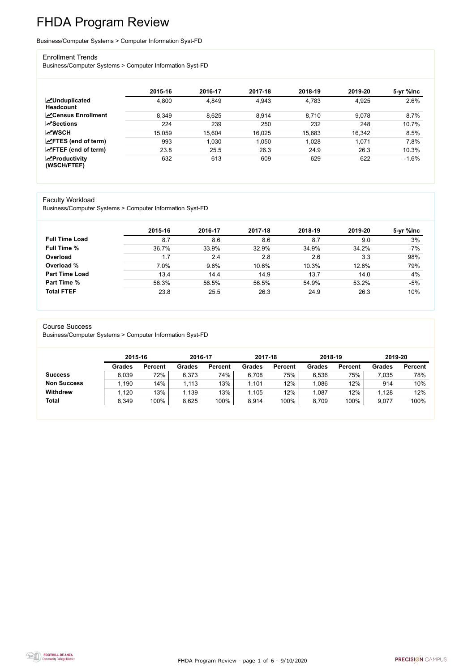FHDA Program Review - page 1 of 6 - 9/10/2020



# FHDA Program Review

#### Business/Computer Systems > Computer Information Syst-FD

#### Enrollment Trends

Business/Computer Systems > Computer Information Syst-FD

|                                          | 2015-16 | 2016-17 | 2017-18 | 2018-19 | 2019-20 | 5-yr %lnc |
|------------------------------------------|---------|---------|---------|---------|---------|-----------|
| <b>MUnduplicated</b><br><b>Headcount</b> | 4,800   | 4,849   | 4,943   | 4,783   | 4,925   | 2.6%      |
| <b>∠</b> Census Enrollment               | 8,349   | 8,625   | 8,914   | 8,710   | 9,078   | 8.7%      |
| <b>ZSections</b>                         | 224     | 239     | 250     | 232     | 248     | 10.7%     |
| <b>MWSCH</b>                             | 15,059  | 15,604  | 16,025  | 15,683  | 16,342  | 8.5%      |
| $\angle$ FTES (end of term)              | 993     | 1,030   | 1,050   | 1,028   | 1,071   | 7.8%      |
| $\angle$ FTEF (end of term)              | 23.8    | 25.5    | 26.3    | 24.9    | 26.3    | 10.3%     |
| $\chi$ Productivity<br>(WSCH/FTEF)       | 632     | 613     | 609     | 629     | 622     | $-1.6%$   |

#### Faculty Workload

Business/Computer Systems > Computer Information Syst-FD

|                       | 2015-16 | 2016-17 | 2017-18 | 2018-19 | 2019-20 | 5-yr %lnc |
|-----------------------|---------|---------|---------|---------|---------|-----------|
| <b>Full Time Load</b> | 8.7     | 8.6     | 8.6     | 8.7     | 9.0     | 3%        |
| <b>Full Time %</b>    | 36.7%   | 33.9%   | 32.9%   | 34.9%   | 34.2%   | $-7%$     |
| Overload              | 1.7     | 2.4     | 2.8     | 2.6     | 3.3     | 98%       |
| Overload %            | 7.0%    | 9.6%    | 10.6%   | 10.3%   | 12.6%   | 79%       |
| <b>Part Time Load</b> | 13.4    | 14.4    | 14.9    | 13.7    | 14.0    | 4%        |
| <b>Part Time %</b>    | 56.3%   | 56.5%   | 56.5%   | 54.9%   | 53.2%   | $-5%$     |
| <b>Total FTEF</b>     | 23.8    | 25.5    | 26.3    | 24.9    | 26.3    | 10%       |

#### Course Success

Business/Computer Systems > Computer Information Syst-FD

|                    |               | 2015-16        |               | 2016-17        | 2017-18       |                | 2018-19       |                | 2019-20       |                |
|--------------------|---------------|----------------|---------------|----------------|---------------|----------------|---------------|----------------|---------------|----------------|
|                    | <b>Grades</b> | <b>Percent</b> | <b>Grades</b> | <b>Percent</b> | <b>Grades</b> | <b>Percent</b> | <b>Grades</b> | <b>Percent</b> | <b>Grades</b> | <b>Percent</b> |
| <b>Success</b>     | 6,039         | 72%            | 6,373         | 74%            | 6,708         | 75%            | 6,536         | 75%            | 7,035         | 78%            |
| <b>Non Success</b> | 190           | 14%            | 1,113         | 13%            | 1,101         | 12%            | 1,086         | 12%            | 914           | 10%            |
| <b>Withdrew</b>    | 1,120         | 13%            | 1,139         | 13%            | 1,105         | 12%            | 1,087         | 12%            | 1,128         | 12%            |
| <b>Total</b>       | 8,349         | 100%           | 8,625         | 100%           | 8,914         | 100%           | 8,709         | 100%           | 9,077         | 100%           |

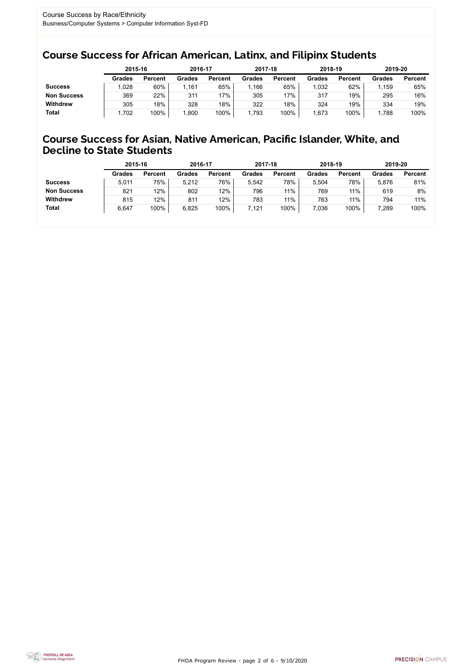FHDA Program Review - page 2 of 6 - 9/10/2020



### Course Success for African American, Latinx, and Filipinx Students

### Course Success for Asian, Native American, Pacific Islander, White, and Decline to State Students

|                    | 2015-16       |                | 2016-17       |                | 2017-18       |                | 2018-19       |                | 2019-20       |                |
|--------------------|---------------|----------------|---------------|----------------|---------------|----------------|---------------|----------------|---------------|----------------|
|                    | <b>Grades</b> | <b>Percent</b> | <b>Grades</b> | <b>Percent</b> | <b>Grades</b> | <b>Percent</b> | <b>Grades</b> | <b>Percent</b> | <b>Grades</b> | <b>Percent</b> |
| <b>Success</b>     | ,028          | 60%            | 1,161         | 65%            | .166          | 65%            | ,032          | 62%            | .159          | 65%            |
| <b>Non Success</b> | 369           | 22%            | 311           | 17%            | 305           | '7%            | 317           | 19%            | 295           | 16%            |
| <b>Withdrew</b>    | 305           | 18%            | 328           | 18%            | 322           | 18%            | 324           | 19%            | 334           | 19%            |
| <b>Total</b>       | .702          | 100%           | 1,800         | 100%           | 1,793         | 100%           | .673          | 100%           | .788          | 100%           |

|                    | 2015-16       |                | 2016-17       |                | 2017-18       |                | 2018-19       |                | 2019-20 |                |
|--------------------|---------------|----------------|---------------|----------------|---------------|----------------|---------------|----------------|---------|----------------|
|                    | <b>Grades</b> | <b>Percent</b> | <b>Grades</b> | <b>Percent</b> | <b>Grades</b> | <b>Percent</b> | <b>Grades</b> | <b>Percent</b> | Grades  | <b>Percent</b> |
| <b>Success</b>     | 5,011         | 75%            | 5,212         | 76%            | 5.542         | 78%            | 5,504         | 78%            | 5,876   | 81%            |
| <b>Non Success</b> | 821           | 12%            | 802           | 12%            | 796           | 11%            | 769           | 11%            | 619     | 8%             |
| <b>Withdrew</b>    | 815           | 12%            | 811           | 12%            | 783           | 11%            | 763           | 11%            | 794     | 11%            |
| <b>Total</b>       | 6,647         | 100%           | 6,825         | 100%           | 7,121         | 100%           | 7,036         | 100%           | 7,289   | 100%           |
|                    |               |                |               |                |               |                |               |                |         |                |

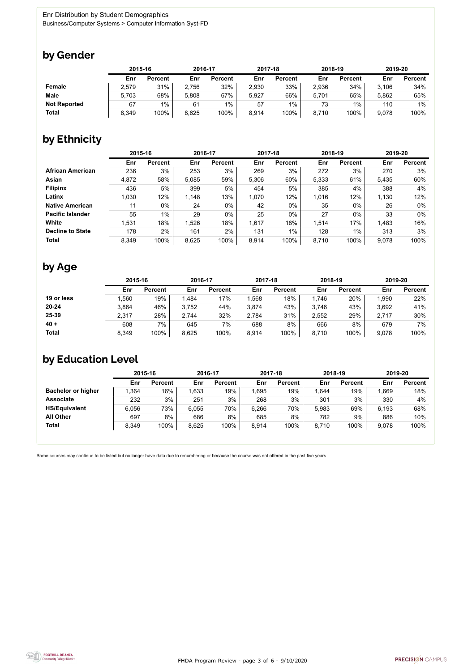

Some courses may continue to be listed but no longer have data due to renumbering or because the course was not offered in the past five years.



## by Gender

|                     |       | 2015-16        |       | 2016-17        |       | 2017-18        | 2018-19 |                | 2019-20 |                |
|---------------------|-------|----------------|-------|----------------|-------|----------------|---------|----------------|---------|----------------|
|                     | Enr   | <b>Percent</b> | Enr   | <b>Percent</b> | Enr   | <b>Percent</b> | Enr     | <b>Percent</b> | Enr     | <b>Percent</b> |
| Female              | 2,579 | 31%            | 2,756 | 32%            | 2,930 | 33%            | 2,936   | 34%            | 3,106   | 34%            |
| <b>Male</b>         | 5,703 | 68%            | 5,808 | 67%            | 5,927 | 66%            | 5,701   | 65%            | 5,862   | 65%            |
| <b>Not Reported</b> | 67    | $1\%$          | 61    | $1\%$          | 57    | $1\%$          | 73      | 1%             | 110     | 1%             |
| <b>Total</b>        | 8,349 | 100%           | 8,625 | 100%           | 8,914 | 100%           | 8,710   | 100%           | 9,078   | 100%           |

# by Ethnicity

|                         |       | 2015-16        |       | 2016-17        |       | 2017-18        | 2018-19 |                | 2019-20 |                |
|-------------------------|-------|----------------|-------|----------------|-------|----------------|---------|----------------|---------|----------------|
|                         | Enr   | <b>Percent</b> | Enr   | <b>Percent</b> | Enr   | <b>Percent</b> | Enr     | <b>Percent</b> | Enr     | <b>Percent</b> |
| <b>African American</b> | 236   | 3%             | 253   | 3%             | 269   | 3%             | 272     | 3%             | 270     | 3%             |
| Asian                   | 4,872 | 58%            | 5,085 | 59%            | 5,306 | 60%            | 5,333   | 61%            | 5,435   | 60%            |
| <b>Filipinx</b>         | 436   | 5%             | 399   | 5%             | 454   | 5%             | 385     | 4%             | 388     | 4%             |
| Latinx                  | 1,030 | 12%            | 1,148 | 13%            | 1,070 | 12%            | 1,016   | 12%            | 1,130   | 12%            |
| <b>Native American</b>  | 11    | $0\%$          | 24    | $0\%$          | 42    | $0\%$          | 35      | $0\%$          | 26      | $0\%$          |
| <b>Pacific Islander</b> | 55    | $1\%$          | 29    | $0\%$          | 25    | $0\%$          | 27      | $0\%$          | 33      | $0\%$          |
| White                   | 1,531 | 18%            | 1,526 | 18%            | 1,617 | 18%            | 1,514   | 17%            | 1,483   | 16%            |
| <b>Decline to State</b> | 178   | 2%             | 161   | 2%             | 131   | $1\%$          | 128     | $1\%$          | 313     | 3%             |
| <b>Total</b>            | 8,349 | 100%           | 8,625 | 100%           | 8,914 | 100%           | 8,710   | 100%           | 9,078   | 100%           |

# by Age

|              | 2015-16 |                | 2016-17 |                | 2017-18 |                | 2018-19 |                | 2019-20 |                |
|--------------|---------|----------------|---------|----------------|---------|----------------|---------|----------------|---------|----------------|
|              | Enr     | <b>Percent</b> | Enr     | <b>Percent</b> | Enr     | <b>Percent</b> | Enr     | <b>Percent</b> | Enr     | <b>Percent</b> |
| 19 or less   | ,560    | 19%            | 1,484   | 17%            | ,568    | 18%            | 1,746   | 20%            | 1,990   | 22%            |
| $20 - 24$    | 3,864   | 46%            | 3,752   | 44%            | 3,874   | 43%            | 3,746   | 43%            | 3,692   | 41%            |
| 25-39        | 2,317   | 28%            | 2,744   | 32%            | 2,784   | 31%            | 2,552   | 29%            | 2,717   | 30%            |
| $40 +$       | 608     | 7%             | 645     | 7%             | 688     | 8%             | 666     | 8%             | 679     | 7%             |
| <b>Total</b> | 8,349   | 100%           | 8,625   | 100%           | 8,914   | 100%           | 8,710   | 100%           | 9,078   | 100%           |

# by Education Level

|                           | 2015-16 |                |       | 2016-17        |       | 2017-18        | 2018-19 |                | 2019-20 |                |
|---------------------------|---------|----------------|-------|----------------|-------|----------------|---------|----------------|---------|----------------|
|                           | Enr     | <b>Percent</b> | Enr   | <b>Percent</b> | Enr   | <b>Percent</b> | Enr     | <b>Percent</b> | Enr     | <b>Percent</b> |
| <b>Bachelor or higher</b> | ,364    | 16%            | 1,633 | 19%            | ,695  | 19%            | ,644    | 19%            | 1,669   | 18%            |
| <b>Associate</b>          | 232     | 3%             | 251   | 3%             | 268   | 3%             | 301     | 3%             | 330     | 4%             |
| <b>HS/Equivalent</b>      | 6.056   | 73%            | 6,055 | 70%            | 6,266 | 70%            | 5,983   | 69%            | 6,193   | 68%            |
| <b>All Other</b>          | 697     | 8%             | 686   | 8%             | 685   | 8%             | 782     | 9%             | 886     | 10%            |
| <b>Total</b>              | 8,349   | 100%           | 8,625 | 100%           | 8,914 | 100%           | 8,710   | 100%           | 9,078   | 100%           |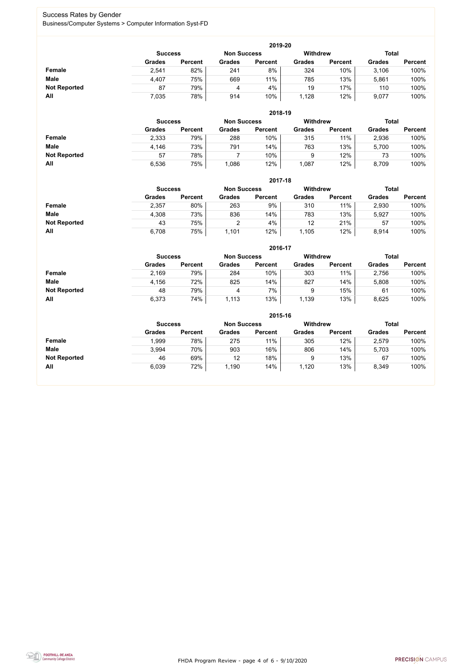FHDA Program Review - page 4 of 6 - 9/10/2020



### Success Rates by Gender Business/Computer Systems > Computer Information Syst-FD

|                     | 2019-20                                                                 |                |               |                |               |                |               |                |  |  |  |  |  |
|---------------------|-------------------------------------------------------------------------|----------------|---------------|----------------|---------------|----------------|---------------|----------------|--|--|--|--|--|
|                     | <b>Total</b><br><b>Withdrew</b><br><b>Non Success</b><br><b>Success</b> |                |               |                |               |                |               |                |  |  |  |  |  |
|                     | <b>Grades</b>                                                           | <b>Percent</b> | <b>Grades</b> | <b>Percent</b> | <b>Grades</b> | <b>Percent</b> | <b>Grades</b> | <b>Percent</b> |  |  |  |  |  |
| <b>Female</b>       | 2,541                                                                   | 82%            | 241           | 8%             | 324           | 10%            | 3,106         | 100%           |  |  |  |  |  |
| <b>Male</b>         | 4,407                                                                   | 75%            | 669           | 11%            | 785           | 13%            | 5,861         | 100%           |  |  |  |  |  |
| <b>Not Reported</b> | 87                                                                      | 79%            |               | 4%             | 19            | 17%            | 110           | 100%           |  |  |  |  |  |
| All                 | 7,035                                                                   | 78%            | 914           | 10%            | 1,128         | 12%            | 9,077         | 100%           |  |  |  |  |  |

|                     |               |                                                         |               | 2018-19        |               |                |               |                |  |
|---------------------|---------------|---------------------------------------------------------|---------------|----------------|---------------|----------------|---------------|----------------|--|
|                     |               | <b>Withdrew</b><br><b>Non Success</b><br><b>Success</b> |               |                |               |                |               |                |  |
|                     | <b>Grades</b> | <b>Percent</b>                                          | <b>Grades</b> | <b>Percent</b> | <b>Grades</b> | <b>Percent</b> | <b>Grades</b> | <b>Percent</b> |  |
| Female              | 2,333         | 79%                                                     | 288           | 10%            | 315           | 11%            | 2,936         | 100%           |  |
| <b>Male</b>         | 4,146         | 73%                                                     | 791           | 14%            | 763           | 13%            | 5,700         | 100%           |  |
| <b>Not Reported</b> | 57            | 78%                                                     |               | 10%            | 9             | 12%            | 73            | 100%           |  |
| All                 | 6,536         | 75%                                                     | 1,086         | 12%            | 1,087         | 12%            | 8,709         | 100%           |  |

|                     |               | 2017-18                                                                 |               |                |               |                |               |                |  |  |  |  |  |
|---------------------|---------------|-------------------------------------------------------------------------|---------------|----------------|---------------|----------------|---------------|----------------|--|--|--|--|--|
|                     |               | <b>Withdrew</b><br><b>Total</b><br><b>Non Success</b><br><b>Success</b> |               |                |               |                |               |                |  |  |  |  |  |
|                     | <b>Grades</b> | <b>Percent</b>                                                          | <b>Grades</b> | <b>Percent</b> | <b>Grades</b> | <b>Percent</b> | <b>Grades</b> | <b>Percent</b> |  |  |  |  |  |
| Female              | 2,357         | 80%                                                                     | 263           | 9%             | 310           | 11%            | 2,930         | 100%           |  |  |  |  |  |
| <b>Male</b>         | 4,308         | 73%                                                                     | 836           | 14%            | 783           | 13%            | 5,927         | 100%           |  |  |  |  |  |
| <b>Not Reported</b> | 43            | 75%                                                                     |               | 4%             | 12            | 21%            | 57            | 100%           |  |  |  |  |  |
| All                 | 6,708         | 75%                                                                     | ,101          | 12%            | 1,105         | 12%            | 8,914         | 100%           |  |  |  |  |  |

|                     |               | 2016-17        |               |                |                 |                |               |                |  |  |
|---------------------|---------------|----------------|---------------|----------------|-----------------|----------------|---------------|----------------|--|--|
|                     |               | <b>Success</b> |               |                | <b>Withdrew</b> |                | <b>Total</b>  |                |  |  |
|                     | <b>Grades</b> | <b>Percent</b> | <b>Grades</b> | <b>Percent</b> | <b>Grades</b>   | <b>Percent</b> | <b>Grades</b> | <b>Percent</b> |  |  |
| Female              | 2,169         | 79%            | 284           | 10%            | 303             | 11%            | 2,756         | 100%           |  |  |
| <b>Male</b>         | 4,156         | 72%            | 825           | 14%            | 827             | 14%            | 5,808         | 100%           |  |  |
| <b>Not Reported</b> | 48            | 79%            | 4             | 7%             | 9               | 15%            | 61            | 100%           |  |  |
| All                 | 6,373         | 74%            | ,113          | 13%            | 1,139           | 13%            | 8,625         | 100%           |  |  |

|                     | 2015-16        |                |                    |                |                 |                |               |                |  |
|---------------------|----------------|----------------|--------------------|----------------|-----------------|----------------|---------------|----------------|--|
|                     | <b>Success</b> |                | <b>Non Success</b> |                | <b>Withdrew</b> |                |               | <b>Total</b>   |  |
|                     | <b>Grades</b>  | <b>Percent</b> | <b>Grades</b>      | <b>Percent</b> | <b>Grades</b>   | <b>Percent</b> | <b>Grades</b> | <b>Percent</b> |  |
| Female              | 1,999          | 78%            | 275                | 11%            | 305             | 12%            | 2,579         | 100%           |  |
| <b>Male</b>         | 3,994          | 70%            | 903                | 16%            | 806             | 14%            | 5,703         | 100%           |  |
| <b>Not Reported</b> | 46             | 69%            | 12                 | 18%            | 9               | 13%            | 67            | 100%           |  |
| All                 | 6,039          | 72%            | 1,190              | 14%            | 1,120           | 13%            | 8,349         | 100%           |  |

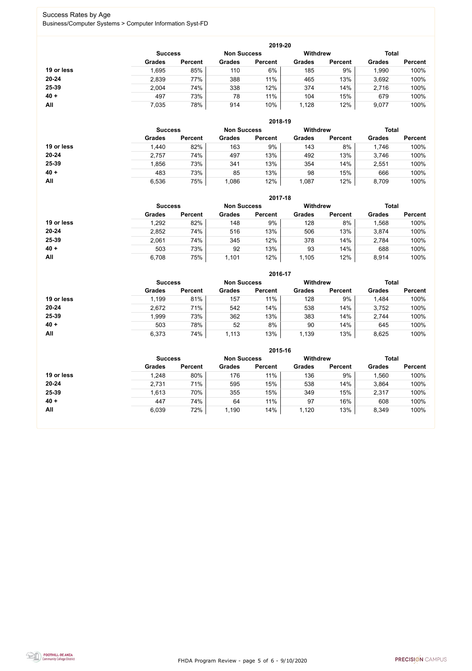FHDA Program Review - page 5 of 6 - 9/10/2020



### Success Rates by Age Business/Computer Systems > Computer Information Syst-FD

|            |                |                    |                 | 2019-20        |               |                |               |                |
|------------|----------------|--------------------|-----------------|----------------|---------------|----------------|---------------|----------------|
|            | <b>Success</b> | <b>Non Success</b> | <b>Withdrew</b> |                |               | <b>Total</b>   |               |                |
|            | <b>Grades</b>  | <b>Percent</b>     | <b>Grades</b>   | <b>Percent</b> | <b>Grades</b> | <b>Percent</b> | <b>Grades</b> | <b>Percent</b> |
| 19 or less | 1,695          | 85%                | 110             | 6%             | 185           | 9%             | ,990          | 100%           |
| $20 - 24$  | 2,839          | 77%                | 388             | 11%            | 465           | 13%            | 3,692         | 100%           |
| 25-39      | 2,004          | 74%                | 338             | 12%            | 374           | 14%            | 2,716         | 100%           |
| $40 +$     | 497            | 73%                | 78              | 11%            | 104           | 15%            | 679           | 100%           |
| All        | 7,035          | 78%                | 914             | 10%            | 1,128         | 12%            | 9,077         | 100%           |

|            |                |                    |               | 2018-19        |                                 |                |               |                |
|------------|----------------|--------------------|---------------|----------------|---------------------------------|----------------|---------------|----------------|
|            | <b>Success</b> | <b>Non Success</b> |               |                | <b>Total</b><br><b>Withdrew</b> |                |               |                |
|            | <b>Grades</b>  | <b>Percent</b>     | <b>Grades</b> | <b>Percent</b> | <b>Grades</b>                   | <b>Percent</b> | <b>Grades</b> | <b>Percent</b> |
| 19 or less | 1,440          | 82%                | 163           | 9%             | 143                             | 8%             | 1,746         | 100%           |
| $20 - 24$  | 2,757          | 74%                | 497           | 13%            | 492                             | 13%            | 3,746         | 100%           |
| 25-39      | 1,856          | 73%                | 341           | 13%            | 354                             | 14%            | 2,551         | 100%           |
| $40 +$     | 483            | 73%                | 85            | 13%            | 98                              | 15%            | 666           | 100%           |
| All        | 6,536          | 75%                | 1,086         | 12%            | 1,087                           | 12%            | 8,709         | 100%           |

|            | 2017-18        |                    |               |                 |               |                |               |                |  |
|------------|----------------|--------------------|---------------|-----------------|---------------|----------------|---------------|----------------|--|
|            | <b>Success</b> | <b>Non Success</b> |               | <b>Withdrew</b> |               | <b>Total</b>   |               |                |  |
|            | <b>Grades</b>  | <b>Percent</b>     | <b>Grades</b> | <b>Percent</b>  | <b>Grades</b> | <b>Percent</b> | <b>Grades</b> | <b>Percent</b> |  |
| 19 or less | 1,292          | 82%                | 148           | 9%              | 128           | 8%             | ,568          | 100%           |  |
| $20 - 24$  | 2,852          | 74%                | 516           | 13%             | 506           | 13%            | 3,874         | 100%           |  |
| 25-39      | 2,061          | 74%                | 345           | 12%             | 378           | 14%            | 2,784         | 100%           |  |
| $40 +$     | 503            | 73%                | 92            | 13%             | 93            | 14%            | 688           | 100%           |  |
| All        | 6,708          | 75%                | 1,101         | 12%             | 1,105         | 12%            | 8,914         | 100%           |  |

|            |                |                |                                       | 2016-17        |               |                |               |                |
|------------|----------------|----------------|---------------------------------------|----------------|---------------|----------------|---------------|----------------|
|            | <b>Success</b> |                | <b>Withdrew</b><br><b>Non Success</b> |                |               | <b>Total</b>   |               |                |
|            | <b>Grades</b>  | <b>Percent</b> | <b>Grades</b>                         | <b>Percent</b> | <b>Grades</b> | <b>Percent</b> | <b>Grades</b> | <b>Percent</b> |
| 19 or less | 1,199          | 81%            | 157                                   | 11%            | 128           | 9%             | 1,484         | 100%           |
| $20 - 24$  | 2,672          | 71%            | 542                                   | 14%            | 538           | 14%            | 3,752         | 100%           |
| $25 - 39$  | 1,999          | 73%            | 362                                   | 13%            | 383           | 14%            | 2,744         | 100%           |
| $40 +$     | 503            | 78%            | 52                                    | 8%             | 90            | 14%            | 645           | 100%           |
| <b>All</b> | 6,373          | 74%            | 1,113                                 | 13%            | 1,139         | 13%            | 8,625         | 100%           |

|            | 2015-16        |                    |               |                 |               |                |               |                |  |
|------------|----------------|--------------------|---------------|-----------------|---------------|----------------|---------------|----------------|--|
|            | <b>Success</b> | <b>Non Success</b> |               | <b>Withdrew</b> |               | <b>Total</b>   |               |                |  |
|            | <b>Grades</b>  | <b>Percent</b>     | <b>Grades</b> | <b>Percent</b>  | <b>Grades</b> | <b>Percent</b> | <b>Grades</b> | <b>Percent</b> |  |
| 19 or less | 1,248          | 80%                | 176           | 11%             | 136           | 9%             | ,560          | 100%           |  |
| $20 - 24$  | 2,731          | 71%                | 595           | 15%             | 538           | 14%            | 3,864         | 100%           |  |
| 25-39      | 1,613          | 70%                | 355           | 15%             | 349           | 15%            | 2,317         | 100%           |  |
| $40 +$     | 447            | 74%                | 64            | 11%             | 97            | 16%            | 608           | 100%           |  |
| All        | 6,039          | 72%                | 1,190         | 14%             | 1,120         | 13%            | 8,349         | 100%           |  |